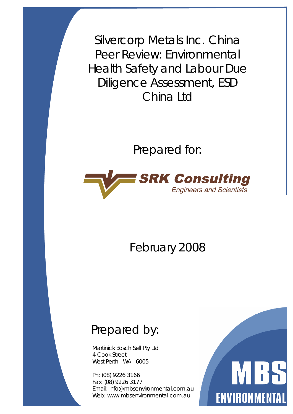Silvercorp Metals Inc. China Peer Review: Environmental Health Safety and Labour Due Diligence Assessment, ESD China Ltd

Prepared for:



February 2008

# Prepared by:

Martinick Bosch Sell Pty Ltd 4 Cook Street West Perth WA 6005

Ph: (08) 9226 3166 Fax: (08) 9226 3177 Email: [info@mbsenvironmental.com.au](mailto:info@mbsenvironmental.com.au) Web: [www.mbsenvironmental.com.au](http://www.mbsenvironmental.com.au)

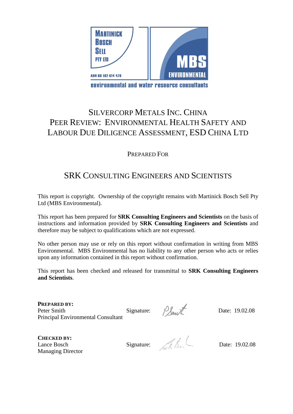

environmental and water resource consultants

# SILVERCORP METALS INC. CHINA PEER REVIEW: ENVIRONMENTAL HEALTH SAFETY AND LABOUR DUE DILIGENCE ASSESSMENT, ESD CHINA LTD

#### PREPARED FOR

## SRK CONSULTING ENGINEERS AND SCIENTISTS

This report is copyright. Ownership of the copyright remains with Martinick Bosch Sell Pty Ltd (MBS Environmental).

This report has been prepared for **SRK Consulting Engineers and Scientists** on the basis of instructions and information provided by **SRK Consulting Engineers and Scientists** and therefore may be subject to qualifications which are not expressed.

No other person may use or rely on this report without confirmation in writing from MBS Environmental. MBS Environmental has no liability to any other person who acts or relies upon any information contained in this report without confirmation.

This report has been checked and released for transmittal to **SRK Consulting Engineers and Scientists**.

**PREPARED BY:**  Peter Smith Signature:  $\beta_{\text{flow}}$  Date: 19.02.08 Principal Environmental Consultant

**CHECKED BY:**  Frincipal Environmental Consultant<br>
CHECKED BY:<br>
Lance Bosch Signature: Date: 19.02.08 Managing Director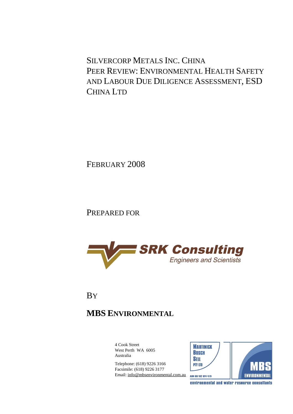SILVERCORP METALS INC. CHINA PEER REVIEW: ENVIRONMENTAL HEALTH SAFETY AND LABOUR DUE DILIGENCE ASSESSMENT, ESD CHINA LTD

FEBRUARY 2008

PREPARED FOR



**BY** 

# **MBS ENVIRONMENTAL**

4 Cook Street West Perth WA 6005 Australia

Telephone: (618) 9226 3166 Facsimile: (618) 9226 3177 Email: [info@mbsenvironmental.com.au](mailto:info@mbsenvironmental.com.au)





environmental and water resource consultants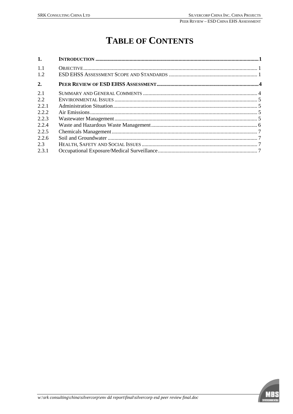# **TABLE OF CONTENTS**

| 1.        |  |
|-----------|--|
| 11<br>1.2 |  |
| 2.        |  |
| 2.1       |  |
| 2.2       |  |
| 2.2.1     |  |
| 2.2.2     |  |
| 2.2.3     |  |
| 2.2.4     |  |
| 2.2.5     |  |
| 2.2.6     |  |
| 2.3       |  |
| 2.3.1     |  |

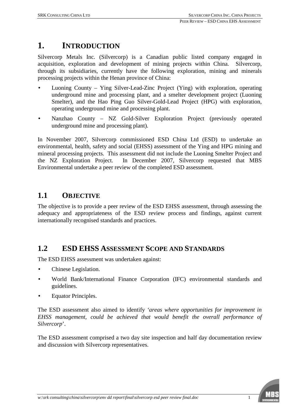## **1. INTRODUCTION**

Silvercorp Metals Inc. (Silvercorp) is a Canadian public listed company engaged in acquisition, exploration and development of mining projects within China. Silvercorp, through its subsidiaries, currently have the following exploration, mining and minerals processing projects within the Henan province of China:

- Luoning County Ying Silver-Lead-Zinc Project (Ying) with exploration, operating underground mine and processing plant, and a smelter development project (Luoning Smelter), and the Hao Ping Guo Silver-Gold-Lead Project (HPG) with exploration, operating underground mine and processing plant.
- Nanzhao County NZ Gold-Silver Exploration Project (previously operated underground mine and processing plant).

In November 2007, Silvercorp commissioned ESD China Ltd (ESD) to undertake an environmental, health, safety and social (EHSS) assessment of the Ying and HPG mining and mineral processing projects. This assessment did not include the Luoning Smelter Project and the NZ Exploration Project. In December 2007, Silvercorp requested that MBS Environmental undertake a peer review of the completed ESD assessment.

## **1.1 OBJECTIVE**

The objective is to provide a peer review of the ESD EHSS assessment, through assessing the adequacy and appropriateness of the ESD review process and findings, against current internationally recognised standards and practices.

## **1.2 ESD EHSS ASSESSMENT SCOPE AND STANDARDS**

The ESD EHSS assessment was undertaken against:

- Chinese Legislation.
- World Bank/International Finance Corporation (IFC) environmental standards and guidelines.
- Equator Principles.

The ESD assessment also aimed to identify *'areas where opportunities for improvement in EHSS management, could be achieved that would benefit the overall performance of Silvercorp*'.

The ESD assessment comprised a two day site inspection and half day documentation review and discussion with Silvercorp representatives.

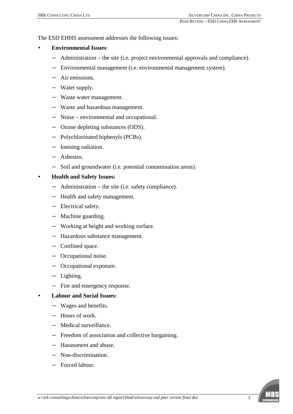The ESD EHHS assessment addresses the following issues:

#### • **Environmental Issues**:

- − Administration the site (i.e. project environmental approvals and compliance).
- − Environmental management (i.e. environmental management system).
- − Air emissions.
- − Water supply.
- − Waste water management.
- − Waste and hazardous management.
- − Noise environmental and occupational.
- − Ozone depleting substances (ODS).
- − Polychlorinated biphenyls (PCBs).
- − Ionising radiation.
- − Asbestos.
- − Soil and groundwater (i.e. potential contamination areas).

#### • **Health and Safety Issues:**

- − Administration the site (i.e. safety compliance).
- − Health and safety management.
- − Electrical safety.
- − Machine guarding.
- − Working at height and working surface.
- − Hazardous substance management.
- − Confined space.
- − Occupational noise.
- − Occupational exposure.
- − Lighting.
- − Fire and emergency response.

#### • **Labour and Social Issues:**

- − Wages and benefits.
- − Hours of work.
- − Medical surveillance.
- − Freedom of association and collective bargaining.
- − Harassment and abuse.
- − Non-discrimination.
- − Forced labour.

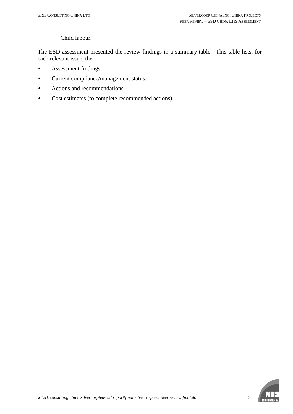− Child labour.

The ESD assessment presented the review findings in a summary table. This table lists, for each relevant issue, the:

- Assessment findings.
- Current compliance/management status.
- Actions and recommendations.
- Cost estimates (to complete recommended actions).

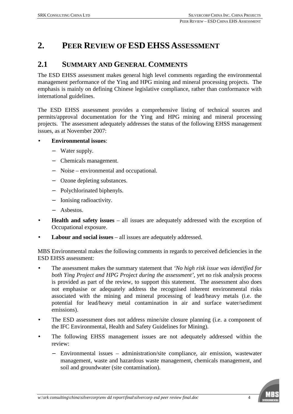## **2. PEER REVIEW OF ESD EHSS ASSESSMENT**

### **2.1 SUMMARY AND GENERAL COMMENTS**

The ESD EHSS assessment makes general high level comments regarding the environmental management performance of the Ying and HPG mining and mineral processing projects. The emphasis is mainly on defining Chinese legislative compliance, rather than conformance with international guidelines.

The ESD EHSS assessment provides a comprehensive listing of technical sources and permits/approval documentation for the Ying and HPG mining and mineral processing projects. The assessment adequately addresses the status of the following EHSS management issues, as at November 2007:

#### • **Environmental issues**:

- − Water supply.
- − Chemicals management.
- − Noise environmental and occupational.
- − Ozone depleting substances.
- − Polychlorinated biphenyls.
- − Ionising radioactivity.
- − Asbestos.
- **Health and safety issues** all issues are adequately addressed with the exception of Occupational exposure.
- **Labour and social issues** all issues are adequately addressed.

MBS Environmental makes the following comments in regards to perceived deficiencies in the ESD EHSS assessment:

- The assessment makes the summary statement that *'No high risk issue was identified for both Ying Project and HPG Project during the assessment'*, yet no risk analysis process is provided as part of the review, to support this statement. The assessment also does not emphasise or adequately address the recognised inherent environmental risks associated with the mining and mineral processing of lead/heavy metals (i.e. the potential for lead/heavy metal contamination in air and surface water/sediment emissions).
- The ESD assessment does not address mine/site closure planning (i.e. a component of the IFC Environmental, Health and Safety Guidelines for Mining).
- The following EHSS management issues are not adequately addressed within the review:
	- − Environmental issues administration/site compliance, air emission, wastewater management, waste and hazardous waste management, chemicals management, and soil and groundwater (site contamination).

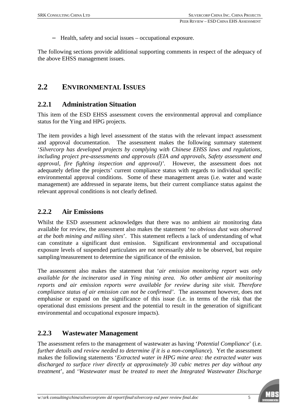Health, safety and social issues – occupational exposure.

The following sections provide additional supporting comments in respect of the adequacy of the above EHSS management issues.

#### **2.2 ENVIRONMENTAL ISSUES**

#### **2.2.1 Administration Situation**

This item of the ESD EHSS assessment covers the environmental approval and compliance status for the Ying and HPG projects.

The item provides a high level assessment of the status with the relevant impact assessment and approval documentation. The assessment makes the following summary statement '*Silvercorp has developed projects by complying with Chinese EHSS laws and regulations, including project pre-assessments and approvals (EIA and approvals, Safety assessment and approval, fire fighting inspection and approval)'*. However, the assessment does not adequately define the projects' current compliance status with regards to individual specific environmental approval conditions. Some of these management areas (i.e. water and waste management) are addressed in separate items, but their current compliance status against the relevant approval conditions is not clearly defined.

#### **2.2.2 Air Emissions**

Whilst the ESD assessment acknowledges that there was no ambient air monitoring data available for review, the assessment also makes the statement '*no obvious dust was observed at the both mining and milling sites*'. This statement reflects a lack of understanding of what can constitute a significant dust emission. Significant environmental and occupational exposure levels of suspended particulates are not necessarily able to be observed, but require sampling/measurement to determine the significance of the emission.

The assessment also makes the statement that '*air emission monitoring report was only available for the incinerator used in Ying mining area. No other ambient air monitoring reports and air emission reports were available for review during site visit. Therefore compliance status of air emission can not be confirmed'*. The assessment however, does not emphasise or expand on the significance of this issue (i.e. in terms of the risk that the operational dust emissions present and the potential to result in the generation of significant environmental and occupational exposure impacts).

#### **2.2.3 Wastewater Management**

The assessment refers to the management of wastewater as having '*Potential Compliance*' (i.e. *further details and review needed to determine if it is a non-compliance*). Yet the assessment makes the following statements '*Extracted water in HPG mine area: the extracted water was discharged to surface river directly at approximately 30 cubic metres per day without any treatment*', and '*Wastewater must be treated to meet the Integrated Wastewater Discharge* 

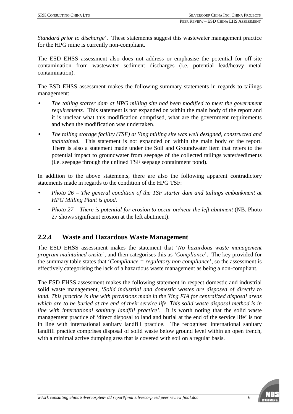*Standard prior to discharge*'. These statements suggest this wastewater management practice for the HPG mine is currently non-compliant.

The ESD EHSS assessment also does not address or emphasise the potential for off-site contamination from wastewater sediment discharges (i.e. potential lead/heavy metal contamination).

The ESD EHSS assessment makes the following summary statements in regards to tailings management:

- *The tailing starter dam at HPG milling site had been modified to meet the government requirements.* This statement is not expanded on within the main body of the report and it is unclear what this modification comprised, what are the government requirements and when the modification was undertaken.
- *The tailing storage facility (TSF) at Ying milling site was well designed, constructed and maintained.* This statement is not expanded on within the main body of the report. There is also a statement made under the Soil and Groundwater item that refers to the potential impact to groundwater from seepage of the collected tailings water/sediments (i.e. seepage through the unlined TSF seepage containment pond).

In addition to the above statements, there are also the following apparent contradictory statements made in regards to the condition of the HPG TSF:

- *Photo 26 – The general condition of the TSF starter dam and tailings embankment at HPG Milling Plant is good.*
- *Photo 27 – There is potential for erosion to occur on/near the left abutment* (NB. Photo 27 shows significant erosion at the left abutment).

#### **2.2.4 Waste and Hazardous Waste Management**

The ESD EHSS assessment makes the statement that '*No hazardous waste management program maintained onsite'*, and then categorises this as '*Compliance*'. The key provided for the summary table states that '*Compliance = regulatory non compliance*', so the assessment is effectively categorising the lack of a hazardous waste management as being a non-compliant.

The ESD EHSS assessment makes the following statement in respect domestic and industrial solid waste management, '*Solid industrial and domestic wastes are disposed of directly to land. This practice is line with provisions made in the Ying EIA for centralized disposal areas*  which are to be buried at the end of their service life. This solid waste disposal method is in *line with international sanitary landfill practice'*. It is worth noting that the solid waste management practice of 'direct disposal to land and burial at the end of the service life' is not in line with international sanitary landfill practice. The recognised international sanitary landfill practice comprises disposal of solid waste below ground level within an open trench, with a minimal active dumping area that is covered with soil on a regular basis.

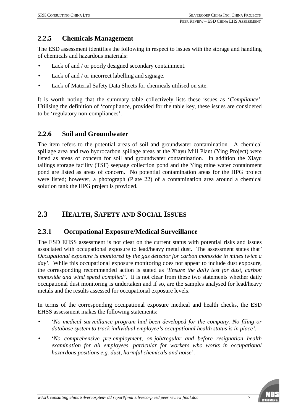### **2.2.5 Chemicals Management**

The ESD assessment identifies the following in respect to issues with the storage and handling of chemicals and hazardous materials:

- Lack of and / or poorly designed secondary containment.
- Lack of and / or incorrect labelling and signage.
- Lack of Material Safety Data Sheets for chemicals utilised on site.

It is worth noting that the summary table collectively lists these issues as '*Compliance*'. Utilising the definition of 'compliance, provided for the table key, these issues are considered to be 'regulatory non-compliances'.

#### **2.2.6 Soil and Groundwater**

The item refers to the potential areas of soil and groundwater contamination. A chemical spillage area and two hydrocarbon spillage areas at the Xiayu Mill Plant (Ying Project) were listed as areas of concern for soil and groundwater contamination. In addition the Xiayu tailings storage facility (TSF) seepage collection pond and the Ying mine water containment pond are listed as areas of concern. No potential contamination areas for the HPG project were listed; however, a photograph (Plate 22) of a contamination area around a chemical solution tank the HPG project is provided.

## **2.3 HEALTH, SAFETY AND SOCIAL ISSUES**

#### **2.3.1 Occupational Exposure/Medical Surveillance**

The ESD EHSS assessment is not clear on the current status with potential risks and issues associated with occupational exposure to lead/heavy metal dust. The assessment states that*' Occupational exposure is monitored by the gas detector for carbon monoxide in mines twice a day'*. While this occupational exposure monitoring does not appear to include dust exposure, the corresponding recommended action is stated as '*Ensure the daily test for dust, carbon monoxide and wind speed complied'*. It is not clear from these two statements whether daily occupational dust monitoring is undertaken and if so, are the samples analysed for lead/heavy metals and the results assessed for occupational exposure levels.

In terms of the corresponding occupational exposure medical and health checks, the ESD EHSS assessment makes the following statements:

- '*No medical surveillance program had been developed for the company. No filing or database system to track individual employee's occupational health status is in place'.*
- '*No comprehensive pre-employment, on-job/regular and before resignation health examination for all employees, particular for workers who works in occupational hazardous positions e.g. dust, harmful chemicals and noise'*.